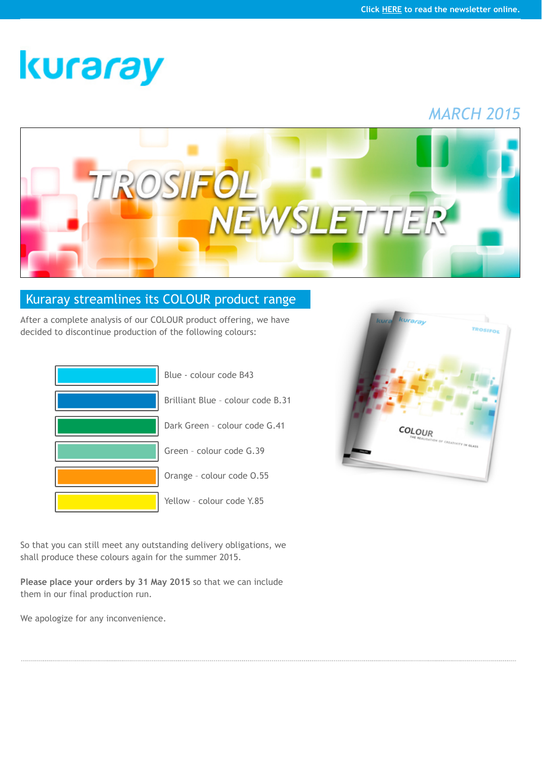

## [Kuraray streamlines its COLOUR product range](http://www.trosifol.com/)

After a complete analysis of our COLOUR product offering, we have decided to discontinue production of the following colours:

| Blue - colour code B43            |
|-----------------------------------|
| Brilliant Blue - colour code B.31 |
| Dark Green - colour code G.41     |
| Green - colour code G.39          |
| Orange - colour code 0.55         |
| Yellow - colour code Y.85         |



So that you can still meet any outstanding delivery obligations, we shall produce these colours again for the summer 2015.

**Please place your orders by 31 May 2015** so that we can include them in our final production run.

We apologize for any inconvenience.